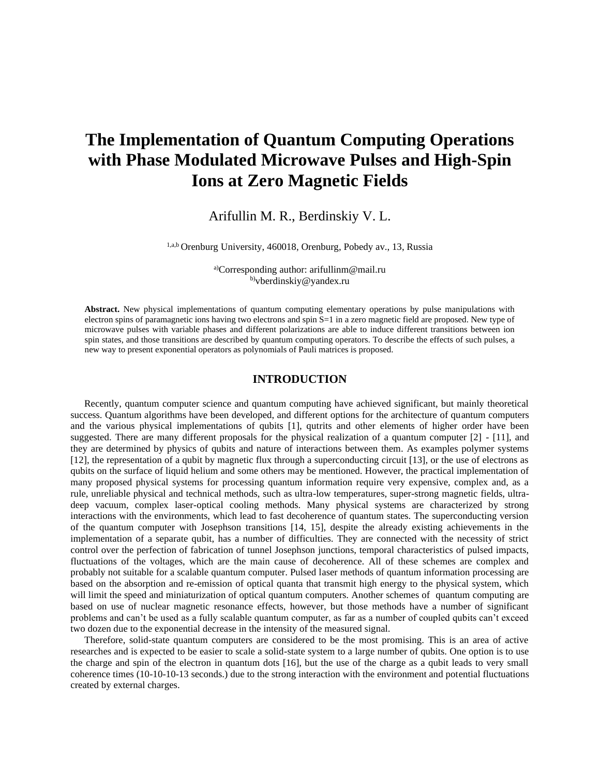# **The Implementation of Quantum Computing Operations with Phase Modulated Microwave Pulses and High-Spin Ions at Zero Magnetic Fields**

Arifullin M. R., Berdinskiy V. L.

1,a,b Orenburg University, 460018, Orenburg, Pobedy av., 13, Russia

a)Corresponding author: arifullinm@mail.ru b)vberdinskiy@yandex.ru

**Abstract.** New physical implementations of quantum computing elementary operations by pulse manipulations with electron spins of paramagnetic ions having two electrons and spin S=1 in a zero magnetic field are proposed. New type of microwave pulses with variable phases and different polarizations are able to induce different transitions between ion spin states, and those transitions are described by quantum computing operators. To describe the effects of such pulses, a new way to present exponential operators as polynomials of Pauli matrices is proposed.

#### **INTRODUCTION**

Recently, quantum computer science and quantum computing have achieved significant, but mainly theoretical success. Quantum algorithms have been developed, and different options for the architecture of quantum computers and the various physical implementations of qubits [1], qutrits and other elements of higher order have been suggested. There are many different proposals for the physical realization of a quantum computer [2] - [11], and they are determined by physics of qubits and nature of interactions between them. As examples polymer systems [12], the representation of a qubit by magnetic flux through a superconducting circuit [13], or the use of electrons as qubits on the surface of liquid helium and some others may be mentioned. However, the practical implementation of many proposed physical systems for processing quantum information require very expensive, complex and, as a rule, unreliable physical and technical methods, such as ultra-low temperatures, super-strong magnetic fields, ultradeep vacuum, complex laser-optical cooling methods. Many physical systems are characterized by strong interactions with the environments, which lead to fast decoherence of quantum states. The superconducting version of the quantum computer with Josephson transitions [14, 15], despite the already existing achievements in the implementation of a separate qubit, has a number of difficulties. They are connected with the necessity of strict control over the perfection of fabrication of tunnel Josephson junctions, temporal characteristics of pulsed impacts, fluctuations of the voltages, which are the main cause of decoherence. All of these schemes are complex and probably not suitable for a scalable quantum computer. Pulsed laser methods of quantum information processing are based on the absorption and re-emission of optical quanta that transmit high energy to the physical system, which will limit the speed and miniaturization of optical quantum computers. Another schemes of quantum computing are based on use of nuclear magnetic resonance effects, however, but those methods have a number of significant problems and can't be used as a fully scalable quantum computer, as far as a number of coupled qubits can't exceed two dozen due to the exponential decrease in the intensity of the measured signal.

Therefore, solid-state quantum computers are considered to be the most promising. This is an area of active researches and is expected to be easier to scale a solid-state system to a large number of qubits. One option is to use the charge and spin of the electron in quantum dots [16], but the use of the charge as a qubit leads to very small coherence times (10-10-10-13 seconds.) due to the strong interaction with the environment and potential fluctuations created by external charges.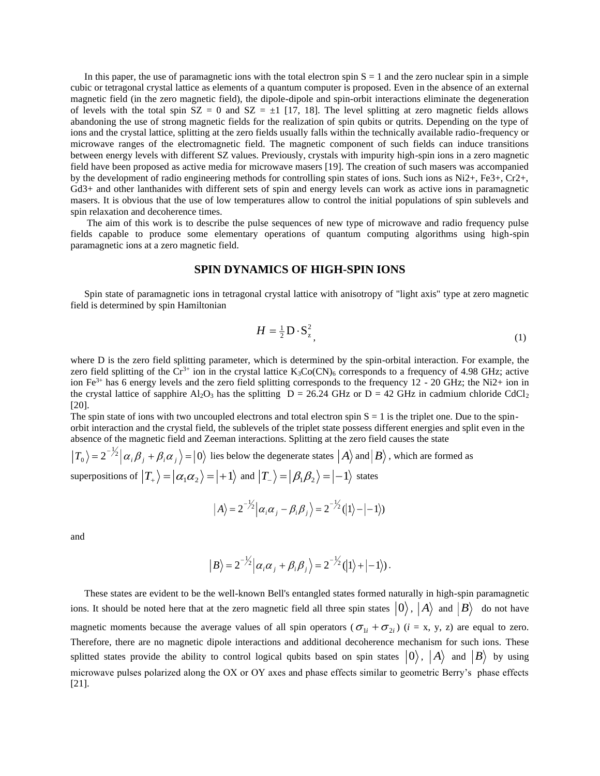In this paper, the use of paramagnetic ions with the total electron spin  $S = 1$  and the zero nuclear spin in a simple cubic or tetragonal crystal lattice as elements of a quantum computer is proposed. Even in the absence of an external magnetic field (in the zero magnetic field), the dipole-dipole and spin-orbit interactions eliminate the degeneration of levels with the total spin  $SZ = 0$  and  $SZ = \pm 1$  [17, 18]. The level splitting at zero magnetic fields allows abandoning the use of strong magnetic fields for the realization of spin qubits or qutrits. Depending on the type of ions and the crystal lattice, splitting at the zero fields usually falls within the technically available radio-frequency or microwave ranges of the electromagnetic field. The magnetic component of such fields can induce transitions between energy levels with different SZ values. Previously, crystals with impurity high-spin ions in a zero magnetic field have been proposed as active media for microwave masers [19]. The creation of such masers was accompanied by the development of radio engineering methods for controlling spin states of ions. Such ions as Ni2+, Fe3+, Cr2+, Gd3+ and other lanthanides with different sets of spin and energy levels can work as active ions in paramagnetic masers. It is obvious that the use of low temperatures allow to control the initial populations of spin sublevels and spin relaxation and decoherence times.

The aim of this work is to describe the pulse sequences of new type of microwave and radio frequency pulse fields capable to produce some elementary operations of quantum computing algorithms using high-spin paramagnetic ions at a zero magnetic field.

## **SPIN DYNAMICS OF HIGH-SPIN IONS**

Spin state of paramagnetic ions in tetragonal crystal lattice with anisotropy of "light axis" type at zero magnetic field is determined by spin Hamiltonian

$$
H = \frac{1}{2} \mathbf{D} \cdot \mathbf{S}_z^2 \tag{1}
$$

where D is the zero field splitting parameter, which is determined by the spin-orbital interaction. For example, the zero field splitting of the  $Cr^{3+}$  ion in the crystal lattice  $K_3Co(CN)_6$  corresponds to a frequency of 4.98 GHz; active ion Fe3+ has 6 energy levels and the zero field splitting corresponds to the frequency 12 - 20 GHz; the Ni2+ ion in the crystal lattice of sapphire Al<sub>2</sub>O<sub>3</sub> has the splitting  $D = 26.24$  GHz or  $D = 42$  GHz in cadmium chloride CdCl<sub>2</sub> [20].

The spin state of ions with two uncoupled electrons and total electron spin  $S = 1$  is the triplet one. Due to the spinorbit interaction and the crystal field, the sublevels of the triplet state possess different energies and split even in the absence of the magnetic field and Zeeman interactions. Splitting at the zero field causes the state

 $\langle T_0 \rangle = 2^{-\frac{1}{2}} \left| \alpha_i \beta_j + \beta_i \alpha_j \right\rangle = |0\rangle$  lies below the degenerate states  $|A\rangle$  and  $|B\rangle$ , which are formed as superpositions of  $|T_+\rangle = |\alpha_1\alpha_2\rangle = |+1\rangle$  and  $|T_-\rangle = |\beta_1\beta_2\rangle = |-1\rangle$  states

$$
|A\rangle = 2^{-\frac{1}{2}} \left| \alpha_i \alpha_j - \beta_i \beta_j \right\rangle = 2^{-\frac{1}{2}} (|1\rangle - |-1\rangle)
$$

and

$$
\left|B\right\rangle = 2^{-\frac{1}{2}}\left|\alpha_i\alpha_j + \beta_i\beta_j\right\rangle = 2^{-\frac{1}{2}}\left(\left|1\right\rangle + \left|-1\right\rangle\right).
$$

These states are evident to be the well-known Bell's entangled states formed naturally in high-spin paramagnetic ions. It should be noted here that at the zero magnetic field all three spin states  $|0\rangle$ ,  $|A\rangle$  and  $|B\rangle$  do not have magnetic moments because the average values of all spin operators ( $\sigma_{1i} + \sigma_{2i}$ ) ( $i = x, y, z$ ) are equal to zero. Therefore, there are no magnetic dipole interactions and additional decoherence mechanism for such ions. These splitted states provide the ability to control logical qubits based on spin states  $|0\rangle, |A\rangle$  and  $|B\rangle$  by using microwave pulses polarized along the OX or OY axes and phase effects similar to geometric Berry's phase effects [21].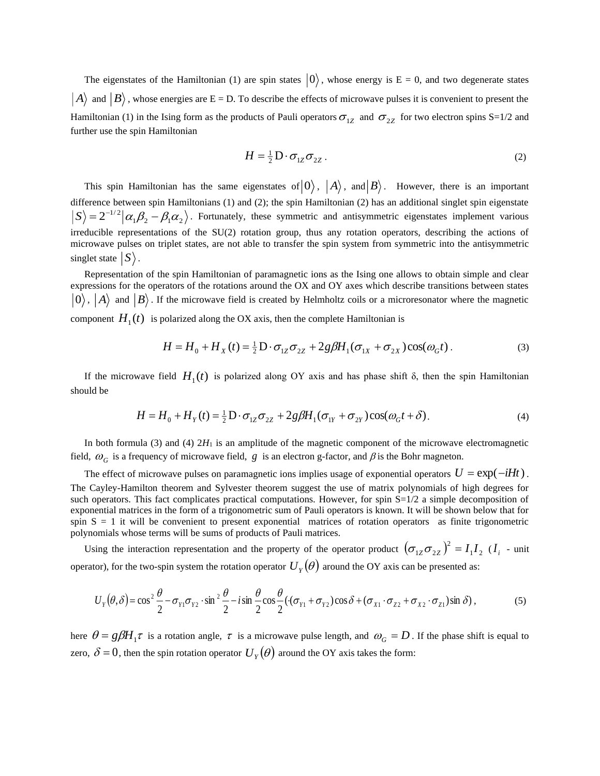The eigenstates of the Hamiltonian (1) are spin states  $|0\rangle$ , whose energy is  $E = 0$ , and two degenerate states  $A\rangle$  and  $|B\rangle$ , whose energies are E = D. To describe the effects of microwave pulses it is convenient to present the Hamiltonian (1) in the Ising form as the products of Pauli operators  $\sigma_{1z}$  and  $\sigma_{2z}$  for two electron spins S=1/2 and further use the spin Hamiltonian

$$
H = \frac{1}{2} \mathbf{D} \cdot \sigma_{1Z} \sigma_{2Z} \,. \tag{2}
$$

This spin Hamiltonian has the same eigenstates of  $|0\rangle$ ,  $|A\rangle$ , and  $|B\rangle$ . However, there is an important difference between spin Hamiltonians (1) and (2); the spin Hamiltonian (2) has an additional singlet spin eigenstate  $1P_2$   $P_1$  $2$  $|S\rangle = 2^{-1/2} |\alpha_1 \beta_2 - \beta_1 \alpha_2\rangle$ . Fortunately, these symmetric and antisymmetric eigenstates implement various irreducible representations of the SU(2) rotation group, thus any rotation operators, describing the actions of microwave pulses on triplet states, are not able to transfer the spin system from symmetric into the antisymmetric singlet state  $|S\rangle$ .

Representation of the spin Hamiltonian of paramagnetic ions as the Ising one allows to obtain simple and clear expressions for the operators of the rotations around the OX and OY axes which describe transitions between states  $|0\rangle$ ,  $|A\rangle$  and  $|B\rangle$ . If the microwave field is created by Helmholtz coils or a microresonator where the magnetic component  $H_1(t)$  is polarized along the OX axis, then the complete Hamiltonian is

$$
H = H_0 + H_X(t) = \frac{1}{2} \mathbf{D} \cdot \sigma_{1Z} \sigma_{2Z} + 2g\beta H_1(\sigma_{1X} + \sigma_{2X}) \cos(\omega_G t) \,. \tag{3}
$$

If the microwave field  $H_1(t)$  is polarized along OY axis and has phase shift  $\delta$ , then the spin Hamiltonian should be

$$
H = H_0 + H_Y(t) = \frac{1}{2} \mathbf{D} \cdot \sigma_{1Z} \sigma_{2Z} + 2g\beta H_1 (\sigma_{1Y} + \sigma_{2Y}) \cos(\omega_G t + \delta).
$$
 (4)

In both formula (3) and (4)  $2H_1$  is an amplitude of the magnetic component of the microwave electromagnetic field,  $\omega_G$  is a frequency of microwave field, g is an electron g-factor, and  $\beta$  is the Bohr magneton.

The effect of microwave pulses on paramagnetic ions implies usage of exponential operators  $U = \exp(-iHt)$ . The Cayley-Hamilton theorem and Sylvester theorem suggest the use of matrix polynomials of high degrees for such operators. This fact complicates practical computations. However, for spin S=1/2 a simple decomposition of exponential matrices in the form of a trigonometric sum of Pauli operators is known. It will be shown below that for spin  $S = 1$  it will be convenient to present exponential matrices of rotation operators as finite trigonometric polynomials whose terms will be sums of products of Pauli matrices.

Using the interaction representation and the property of the operator product  $(\sigma_{1Z}\sigma_{2Z})^2 = I_1I_2$  $\left(\sigma_{1Z}\sigma_{2Z}\right)^2 = I_1I_2$  (*I<sub>i</sub>* - unit operator), for the two-spin system the rotation operator  $U_Y(\theta)$  around the OY axis can be presented as:

$$
U_{Y}(\theta,\delta) = \cos^{2} \frac{\theta}{2} - \sigma_{Y1}\sigma_{Y2} \cdot \sin^{2} \frac{\theta}{2} - i \sin \frac{\theta}{2} \cos \frac{\theta}{2} \left( \left( \sigma_{Y1} + \sigma_{Y2} \right) \cos \delta + \left( \sigma_{X1} \cdot \sigma_{Z2} + \sigma_{X2} \cdot \sigma_{Z1} \right) \sin \delta \right),
$$
\n(5)

here  $\theta = g\beta H_1 \tau$  is a rotation angle,  $\tau$  is a microwave pulse length, and  $\omega_G = D$ . If the phase shift is equal to zero,  $\delta = 0$ , then the spin rotation operator  $U_Y(\theta)$  around the OY axis takes the form: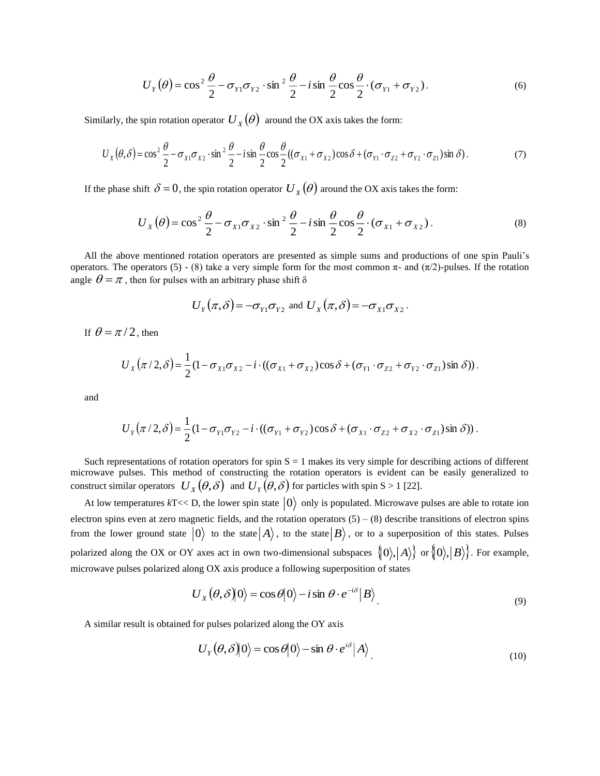$$
U_Y(\theta) = \cos^2 \frac{\theta}{2} - \sigma_{Y1} \sigma_{Y2} \cdot \sin^2 \frac{\theta}{2} - i \sin \frac{\theta}{2} \cos \frac{\theta}{2} \cdot (\sigma_{Y1} + \sigma_{Y2}).
$$
 (6)

Similarly, the spin rotation operator  $U_X(\theta)$  around the OX axis takes the form:

$$
U_{X}(\theta,\delta) = \cos^{2} \frac{\theta}{2} - \sigma_{X1}\sigma_{X2} \cdot \sin^{2} \frac{\theta}{2} - i \sin \frac{\theta}{2} \cos \frac{\theta}{2} ((\sigma_{X1} + \sigma_{X2}) \cos \delta + (\sigma_{Y1} \cdot \sigma_{Z2} + \sigma_{Y2} \cdot \sigma_{Z1}) \sin \delta).
$$
 (7)

If the phase shift  $\delta = 0$ , the spin rotation operator  $U_X(\theta)$  around the OX axis takes the form:

$$
U_X(\theta) = \cos^2 \frac{\theta}{2} - \sigma_{X1} \sigma_{X2} \cdot \sin^2 \frac{\theta}{2} - i \sin \frac{\theta}{2} \cos \frac{\theta}{2} \cdot (\sigma_{X1} + \sigma_{X2}).
$$
\n(8)

All the above mentioned rotation operators are presented as simple sums and productions of one spin Pauli's operators. The operators (5) - (8) take a very simple form for the most common π- and  $(π/2)$ -pulses. If the rotation angle  $\theta = \pi$ , then for pulses with an arbitrary phase shift  $\delta$ 

$$
U_Y(\pi,\delta) = -\sigma_{Y_1}\sigma_{Y_2}
$$
 and  $U_X(\pi,\delta) = -\sigma_{X_1}\sigma_{X_2}$ .

If  $\theta = \pi/2$ , then

$$
U_{X}(\pi/2,\delta) = \frac{1}{2}(1-\sigma_{X1}\sigma_{X2} - i\cdot((\sigma_{X1}+\sigma_{X2})\cos\delta + (\sigma_{Y1}\cdot\sigma_{Z2}+\sigma_{Y2}\cdot\sigma_{Z1})\sin\delta)).
$$

and

$$
U_{Y}(\pi/2,\delta) = \frac{1}{2}(1-\sigma_{Y1}\sigma_{Y2} - i\cdot((\sigma_{Y1} + \sigma_{Y2})\cos\delta + (\sigma_{X1} \cdot \sigma_{Z2} + \sigma_{X2} \cdot \sigma_{Z1})\sin\delta)).
$$

Such representations of rotation operators for spin  $S = 1$  makes its very simple for describing actions of different microwave pulses. This method of constructing the rotation operators is evident can be easily generalized to construct similar operators  $U_X(\theta, \delta)$  and  $U_Y(\theta, \delta)$  for particles with spin S > 1 [22].

At low temperatures  $kT \ll D$ , the lower spin state  $|0\rangle$  only is populated. Microwave pulses are able to rotate ion electron spins even at zero magnetic fields, and the rotation operators  $(5) - (8)$  describe transitions of electron spins from the lower ground state  $\ket{0}$  to the state  $\ket{A}$ , to the state  $\ket{B}$ , or to a superposition of this states. Pulses polarized along the OX or OY axes act in own two-dimensional subspaces  $\{ |0\rangle, |A\rangle \}$  or  $\{ |0\rangle, |B\rangle \}$ . For example, microwave pulses polarized along OX axis produce a following superposition of states

$$
U_X(\theta, \delta)|0\rangle = \cos\theta|0\rangle - i\sin\theta \cdot e^{-i\delta}|B\rangle
$$
\n(9)

A similar result is obtained for pulses polarized along the OY axis

$$
U_{Y}(\theta,\delta)|0\rangle = \cos\theta|0\rangle - \sin\theta \cdot e^{i\delta}|A\rangle
$$
\n(10)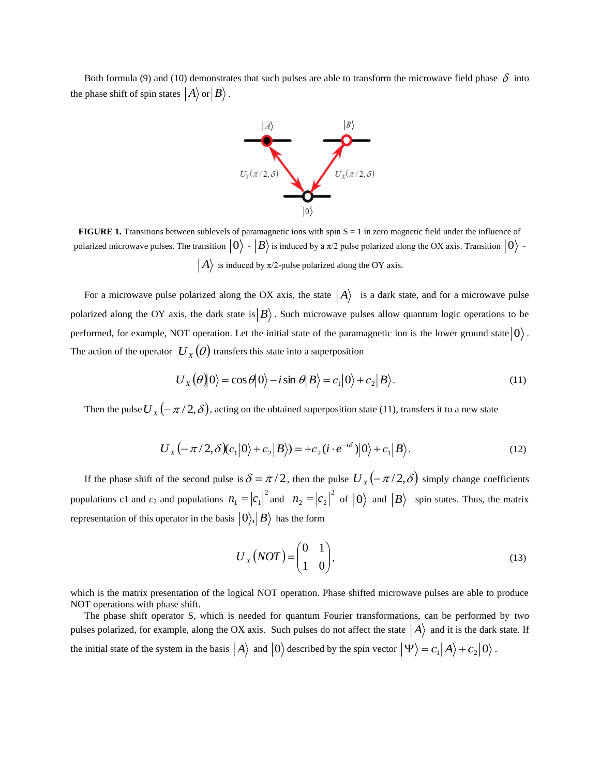Both formula (9) and (10) demonstrates that such pulses are able to transform the microwave field phase  $\delta$  into the phase shift of spin states  $|A\rangle$  or  $|B\rangle$ .



**FIGURE 1.** Transitions between sublevels of paramagnetic ions with spin S = 1 in zero magnetic field under the influence of polarized microwave pulses. The transition  $|0\rangle$  -  $|B\rangle$  is induced by a  $\pi/2$  pulse polarized along the OX axis. Transition  $|0\rangle$  - $A$ ) is induced by  $\pi/2$ -pulse polarized along the OY axis.

For a microwave pulse polarized along the OX axis, the state  $|A\rangle$  is a dark state, and for a microwave pulse polarized along the OY axis, the dark state is  $|B\rangle$ . Such microwave pulses allow quantum logic operations to be performed, for example, NOT operation. Let the initial state of the paramagnetic ion is the lower ground state  $|0\rangle$ . The action of the operator  $\;{\it U}_{\it X}(\theta)\;$  transfers this state into a superposition

$$
U_{X}(\theta|0\rangle = \cos\theta|0\rangle - i\sin\theta|B\rangle = c_{1}|0\rangle + c_{2}|B\rangle.
$$
 (11)

Then the pulse  $U_X(-\pi/2,\delta)$ , acting on the obtained superposition state (11), transfers it to a new state

$$
U_X(-\pi/2,\delta)(c_1|0\rangle + c_2|B\rangle) = +c_2(i \cdot e^{-i\delta})|0\rangle + c_1|B\rangle.
$$
 (12)

If the phase shift of the second pulse is  $\delta = \pi/2$ , then the pulse  $U_X(-\pi/2, \delta)$  simply change coefficients populations c1 and  $c_2$  and populations  $n_1 = |c_1|^2$  and  $n_2 = |c_2|^2$  of  $|0\rangle$  and  $|B\rangle$  spin states. Thus, the matrix representation of this operator in the basis  $|0\rangle, |B\rangle$  has the form

$$
U_X(NOT) = \begin{pmatrix} 0 & 1 \\ 1 & 0 \end{pmatrix},\tag{13}
$$

which is the matrix presentation of the logical NOT operation. Phase shifted microwave pulses are able to produce NOT operations with phase shift.

The phase shift operator S, which is needed for quantum Fourier transformations, can be performed by two pulses polarized, for example, along the OX axis. Such pulses do not affect the state  $|A\rangle$  and it is the dark state. If the initial state of the system in the basis  $|A\rangle$  and  $|0\rangle$  described by the spin vector  $|\Psi\rangle = c_1|A\rangle + c_2|0\rangle$ .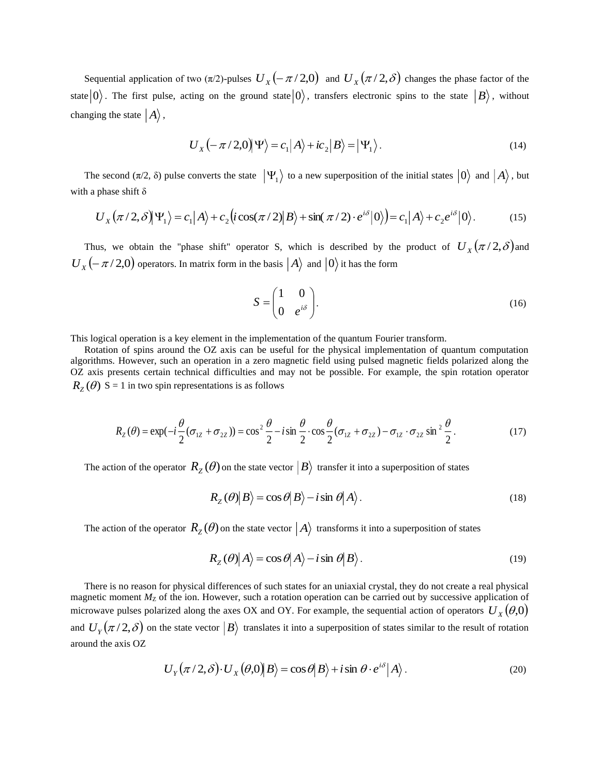Sequential application of two ( $\pi/2$ )-pulses  $U_X(-\pi/2,0)$  and  $U_X(\pi/2,\delta)$  changes the phase factor of the state  $|0\rangle$ . The first pulse, acting on the ground state  $|0\rangle$ , transfers electronic spins to the state  $|B\rangle$ , without changing the state  $|A\rangle$ ,

$$
U_X(-\pi/2,0)\Psi\rangle = c_1|A\rangle + ic_2|B\rangle = |\Psi_1\rangle.
$$
 (14)

The second ( $\pi/2$ ,  $\delta$ ) pulse converts the state  $|\Psi_1\rangle$  to a new superposition of the initial states  $|0\rangle$  and  $|A\rangle$ , but with a phase shift  $\delta$ 

$$
U_{X}(\pi/2,\delta)\vert\Psi_{1}\rangle=c_{1}\vert A\rangle+c_{2}\big(i\cos(\pi/2)\vert B\rangle+\sin(\pi/2)\cdot e^{i\delta}\vert 0\rangle\big)=c_{1}\vert A\rangle+c_{2}e^{i\delta}\vert 0\rangle.\tag{15}
$$

Thus, we obtain the "phase shift" operator S, which is described by the product of  $U_X(\pi/2,\delta)$  and  ${U}_X(-\pi/2{,}0)$  operators. In matrix form in the basis  $|A\rangle$  and  $|0\rangle$  it has the form

$$
S = \begin{pmatrix} 1 & 0 \\ 0 & e^{i\delta} \end{pmatrix}.
$$
 (16)

This logical operation is a key element in the implementation of the quantum Fourier transform.

Rotation of spins around the OZ axis can be useful for the physical implementation of quantum computation algorithms. However, such an operation in a zero magnetic field using pulsed magnetic fields polarized along the OZ axis presents certain technical difficulties and may not be possible. For example, the spin rotation operator  $R_{Z}(\theta)$  S = 1 in two spin representations is as follows

$$
R_Z(\theta) = \exp(-i\frac{\theta}{2}(\sigma_{1Z} + \sigma_{2Z})) = \cos^2\frac{\theta}{2} - i\sin\frac{\theta}{2}\cdot\cos\frac{\theta}{2}(\sigma_{1Z} + \sigma_{2Z}) - \sigma_{1Z}\cdot\sigma_{2Z}\sin^2\frac{\theta}{2}.
$$
 (17)

The action of the operator  $R_z(\theta)$  on the state vector  $|B\rangle$  transfer it into a superposition of states

$$
R_z(\theta)|B\rangle = \cos\theta|B\rangle - i\sin\theta|A\rangle.
$$
 (18)

The action of the operator  $R_z(\theta)$  on the state vector  $|A\rangle$  transforms it into a superposition of states

$$
R_Z(\theta)|A\rangle = \cos\theta|A\rangle - i\sin\theta|B\rangle.
$$
 (19)

There is no reason for physical differences of such states for an uniaxial crystal, they do not create a real physical magnetic moment *M*z of the ion. However, such a rotation operation can be carried out by successive application of microwave pulses polarized along the axes OX and OY. For example, the sequential action of operators  $U_{X}(\theta,0)$ and  $U_Y(\pi/2,\delta)$  on the state vector  $|B\rangle$  translates it into a superposition of states similar to the result of rotation around the axis OZ

$$
U_{Y}(\pi/2,\delta)\cdot U_{X}(\theta,0) |B\rangle = \cos\theta|B\rangle + i\sin\theta\cdot e^{i\delta}|A\rangle.
$$
 (20)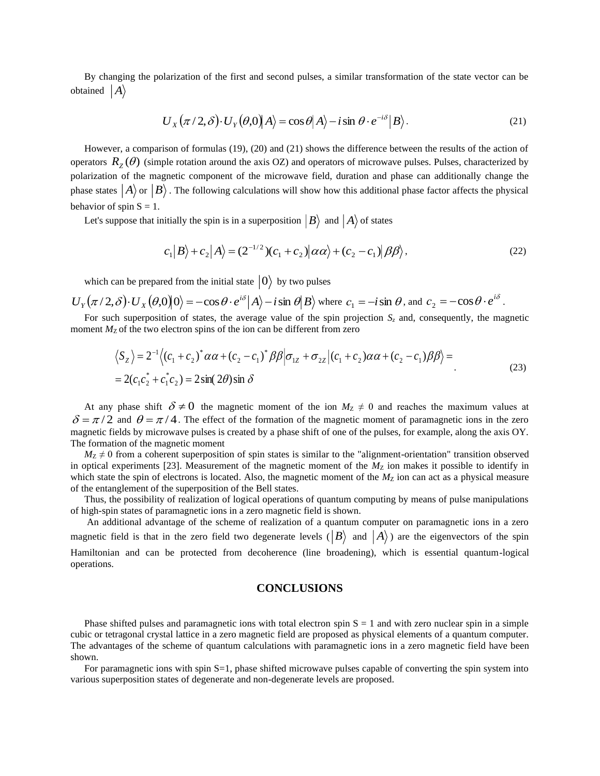By changing the polarization of the first and second pulses, a similar transformation of the state vector can be obtained *A*

$$
U_{X}(\pi/2,\delta)\cdot U_{Y}(\theta,0) |A\rangle = \cos\theta|A\rangle - i\sin\theta\cdot e^{-i\delta}|B\rangle.
$$
 (21)

However, a comparison of formulas (19), (20) and (21) shows the difference between the results of the action of operators  $R_z(\theta)$  (simple rotation around the axis OZ) and operators of microwave pulses. Pulses, characterized by polarization of the magnetic component of the microwave field, duration and phase can additionally change the phase states  $|A\rangle$  or  $|B\rangle$ . The following calculations will show how this additional phase factor affects the physical behavior of spin  $S = 1$ .

Let's suppose that initially the spin is in a superposition  $|B\rangle$  and  $|A\rangle$  of states

$$
c_1|B\rangle + c_2|A\rangle = (2^{-1/2})(c_1 + c_2)|\alpha\alpha\rangle + (c_2 - c_1)|\beta\beta\rangle, \qquad (22)
$$

which can be prepared from the initial state  $|0\rangle$  by two pulses

$$
U_Y(\pi/2,\delta)\cdot U_X(\theta,0)|0\rangle = -\cos\theta\cdot e^{i\delta}|A\rangle - i\sin\theta|B\rangle \text{ where } c_1 = -i\sin\theta \text{, and } c_2 = -\cos\theta\cdot e^{i\delta}.
$$

For such superposition of states, the average value of the spin projection  $S<sub>z</sub>$  and, consequently, the magnetic moment  $M_Z$  of the two electron spins of the ion can be different from zero

$$
\langle S_z \rangle = 2^{-1} \langle (c_1 + c_2)^* \alpha \alpha + (c_2 - c_1)^* \beta \beta | \sigma_{1z} + \sigma_{2z} | (c_1 + c_2) \alpha \alpha + (c_2 - c_1) \beta \beta \rangle =
$$
  
= 2(c<sub>1</sub>c<sub>2</sub><sup>\*</sup> + c<sub>1</sub><sup>\*</sup>c<sub>2</sub>) = 2 sin(2\theta) sin  $\delta$  (23)

At any phase shift  $\delta \neq 0$  the magnetic moment of the ion  $M_Z \neq 0$  and reaches the maximum values at  $\delta = \pi/2$  and  $\theta = \pi/4$ . The effect of the formation of the magnetic moment of paramagnetic ions in the zero magnetic fields by microwave pulses is created by a phase shift of one of the pulses, for example, along the axis OY. The formation of the magnetic moment

 $M_Z \neq 0$  from a coherent superposition of spin states is similar to the "alignment-orientation" transition observed in optical experiments [23]. Measurement of the magnetic moment of the  $M<sub>Z</sub>$  ion makes it possible to identify in which state the spin of electrons is located. Also, the magnetic moment of the  $M_Z$  ion can act as a physical measure of the entanglement of the superposition of the Bell states.

Thus, the possibility of realization of logical operations of quantum computing by means of pulse manipulations of high-spin states of paramagnetic ions in a zero magnetic field is shown.

An additional advantage of the scheme of realization of a quantum computer on paramagnetic ions in a zero magnetic field is that in the zero field two degenerate levels ( $|B\rangle$  and  $|A\rangle$ ) are the eigenvectors of the spin Hamiltonian and can be protected from decoherence (line broadening), which is essential quantum-logical operations.

## **CONCLUSIONS**

Phase shifted pulses and paramagnetic ions with total electron spin  $S = 1$  and with zero nuclear spin in a simple cubic or tetragonal crystal lattice in a zero magnetic field are proposed as physical elements of a quantum computer. The advantages of the scheme of quantum calculations with paramagnetic ions in a zero magnetic field have been shown.

For paramagnetic ions with spin S=1, phase shifted microwave pulses capable of converting the spin system into various superposition states of degenerate and non-degenerate levels are proposed.